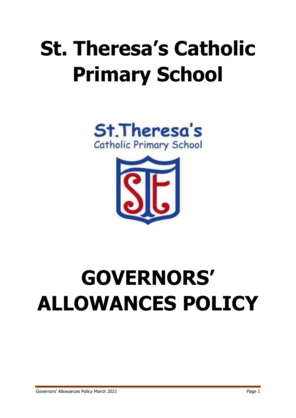## **St. Theresa's Catholic Primary School**





# **GOVERNORS' ALLOWANCES POLICY**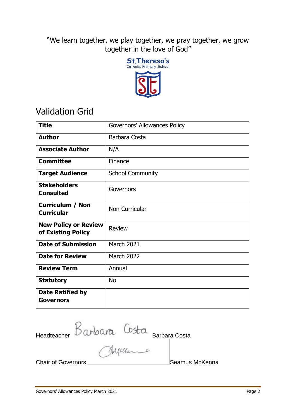"We learn together, we play together, we pray together, we grow together in the love of God"



### Validation Grid

| <b>Title</b>                                      | Governors' Allowances Policy |
|---------------------------------------------------|------------------------------|
| <b>Author</b>                                     | Barbara Costa                |
| <b>Associate Author</b>                           | N/A                          |
| <b>Committee</b>                                  | Finance                      |
| <b>Target Audience</b>                            | <b>School Community</b>      |
| <b>Stakeholders</b><br><b>Consulted</b>           | Governors                    |
| <b>Curriculum / Non</b><br><b>Curricular</b>      | Non Curricular               |
| <b>New Policy or Review</b><br>of Existing Policy | <b>Review</b>                |
| <b>Date of Submission</b>                         | March 2021                   |
| <b>Date for Review</b>                            | <b>March 2022</b>            |
| <b>Review Term</b>                                | Annual                       |
| <b>Statutory</b>                                  | <b>No</b>                    |
| Date Ratified by<br>Governors                     |                              |

Headteacher Barbara Costa Barbara Costa

Chair of Governors **Seamus McKenna**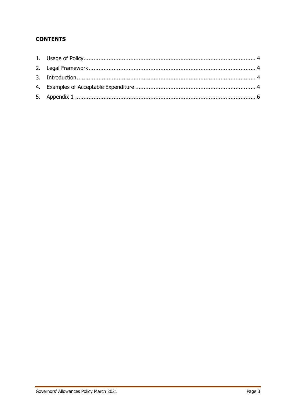#### **CONTENTS**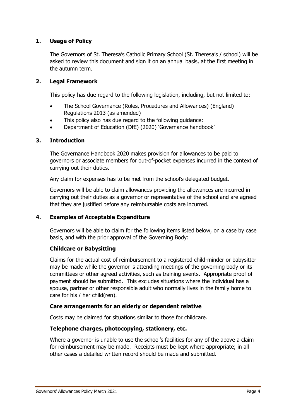#### <span id="page-3-0"></span>**1. Usage of Policy**

The Governors of St. Theresa's Catholic Primary School (St. Theresa's / school) will be asked to review this document and sign it on an annual basis, at the first meeting in the autumn term.

#### <span id="page-3-1"></span>**2. Legal Framework**

This policy has due regard to the following legislation, including, but not limited to:

- The School Governance (Roles, Procedures and Allowances) (England) Regulations 2013 (as amended)
- This policy also has due regard to the following guidance:
- Department of Education (DfE) (2020) 'Governance handbook'

#### <span id="page-3-2"></span>**3. Introduction**

The Governance Handbook 2020 makes provision for allowances to be paid to governors or associate members for out-of-pocket expenses incurred in the context of carrying out their duties.

Any claim for expenses has to be met from the school's delegated budget.

Governors will be able to claim allowances providing the allowances are incurred in carrying out their duties as a governor or representative of the school and are agreed that they are justified before any reimbursable costs are incurred.

#### <span id="page-3-3"></span>**4. Examples of Acceptable Expenditure**

Governors will be able to claim for the following items listed below, on a case by case basis, and with the prior approval of the Governing Body:

#### **Childcare or Babysitting**

Claims for the actual cost of reimbursement to a registered child-minder or babysitter may be made while the governor is attending meetings of the governing body or its committees or other agreed activities, such as training events. Appropriate proof of payment should be submitted. This excludes situations where the individual has a spouse, partner or other responsible adult who normally lives in the family home to care for his / her child(ren).

#### **Care arrangements for an elderly or dependent relative**

Costs may be claimed for situations similar to those for childcare.

#### **Telephone charges, photocopying, stationery, etc.**

Where a governor is unable to use the school's facilities for any of the above a claim for reimbursement may be made. Receipts must be kept where appropriate; in all other cases a detailed written record should be made and submitted.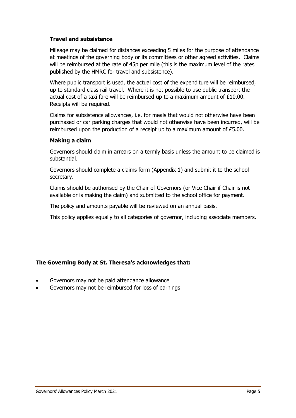#### **Travel and subsistence**

Mileage may be claimed for distances exceeding 5 miles for the purpose of attendance at meetings of the governing body or its committees or other agreed activities. Claims will be reimbursed at the rate of 45p per mile (this is the maximum level of the rates published by the HMRC for travel and subsistence).

Where public transport is used, the actual cost of the expenditure will be reimbursed, up to standard class rail travel. Where it is not possible to use public transport the actual cost of a taxi fare will be reimbursed up to a maximum amount of £10.00. Receipts will be required.

Claims for subsistence allowances, i.e. for meals that would not otherwise have been purchased or car parking charges that would not otherwise have been incurred, will be reimbursed upon the production of a receipt up to a maximum amount of £5.00.

#### **Making a claim**

Governors should claim in arrears on a termly basis unless the amount to be claimed is substantial.

Governors should complete a claims form (Appendix 1) and submit it to the school secretary.

Claims should be authorised by the Chair of Governors (or Vice Chair if Chair is not available or is making the claim) and submitted to the school office for payment.

The policy and amounts payable will be reviewed on an annual basis.

This policy applies equally to all categories of governor, including associate members.

#### **The Governing Body at St. Theresa's acknowledges that:**

- Governors may not be paid attendance allowance
- Governors may not be reimbursed for loss of earnings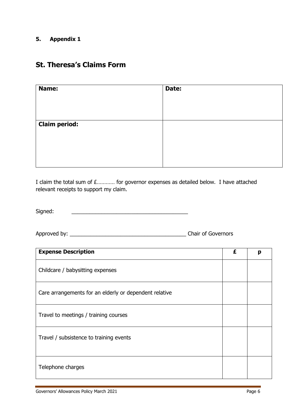#### <span id="page-5-0"></span>**5. Appendix 1**

### **St. Theresa's Claims Form**

| Name:                | Date: |
|----------------------|-------|
|                      |       |
|                      |       |
| <b>Claim period:</b> |       |
|                      |       |
|                      |       |
|                      |       |

I claim the total sum of £………… for governor expenses as detailed below. I have attached relevant receipts to support my claim.

Signed:

Approved by: \_\_\_\_\_\_\_\_\_\_\_\_\_\_\_\_\_\_\_\_\_\_\_\_\_\_\_\_\_\_\_\_\_\_\_\_\_\_\_ Chair of Governors

| <b>Expense Description</b>                             |  | p |
|--------------------------------------------------------|--|---|
| Childcare / babysitting expenses                       |  |   |
| Care arrangements for an elderly or dependent relative |  |   |
| Travel to meetings / training courses                  |  |   |
| Travel / subsistence to training events                |  |   |
| Telephone charges                                      |  |   |